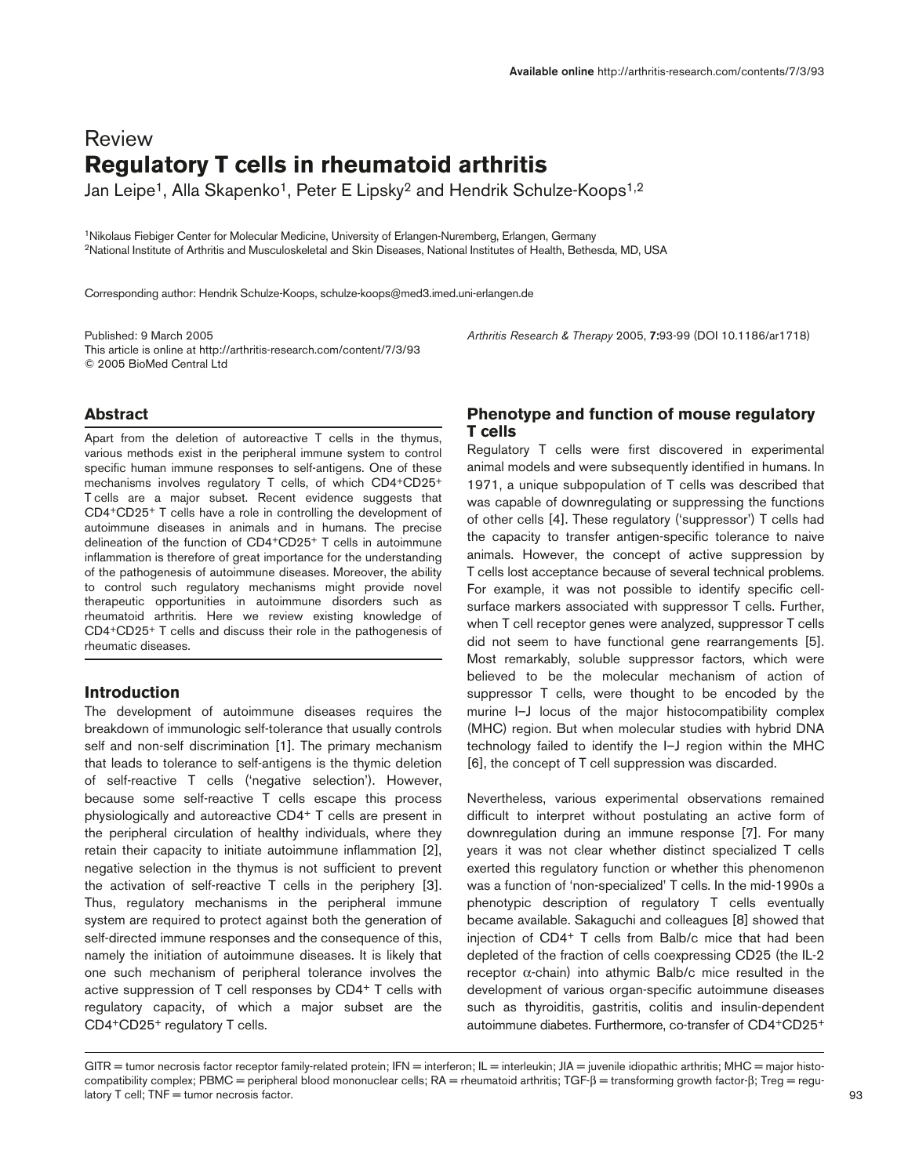# Review **Regulatory T cells in rheumatoid arthritis**

Jan Leipe<sup>1</sup>, Alla Skapenko<sup>1</sup>, Peter E Lipsky<sup>2</sup> and Hendrik Schulze-Koops<sup>1,2</sup>

1Nikolaus Fiebiger Center for Molecular Medicine, University of Erlangen-Nuremberg, Erlangen, Germany 2National Institute of Arthritis and Musculoskeletal and Skin Diseases, National Institutes of Health, Bethesda, MD, USA

Corresponding author: Hendrik Schulze-Koops, schulze-koops@med3.imed.uni-erlangen.de

Published: 9 March 2005 *Arthritis Research & Therapy* 2005, **7:**93-99 (DOI 10.1186/ar1718) This article is online at http://arthritis-research.com/content/7/3/93 © 2005 BioMed Central Ltd

# **Abstract**

Apart from the deletion of autoreactive T cells in the thymus, various methods exist in the peripheral immune system to control specific human immune responses to self-antigens. One of these mechanisms involves regulatory T cells, of which CD4+CD25+ T cells are a major subset. Recent evidence suggests that CD4+CD25+ T cells have a role in controlling the development of autoimmune diseases in animals and in humans. The precise delineation of the function of CD4+CD25+ T cells in autoimmune inflammation is therefore of great importance for the understanding of the pathogenesis of autoimmune diseases. Moreover, the ability to control such regulatory mechanisms might provide novel therapeutic opportunities in autoimmune disorders such as rheumatoid arthritis. Here we review existing knowledge of CD4+CD25+ T cells and discuss their role in the pathogenesis of rheumatic diseases.

# **Introduction**

The development of autoimmune diseases requires the breakdown of immunologic self-tolerance that usually controls self and non-self discrimination [1]. The primary mechanism that leads to tolerance to self-antigens is the thymic deletion of self-reactive T cells ('negative selection'). However, because some self-reactive T cells escape this process physiologically and autoreactive CD4+ T cells are present in the peripheral circulation of healthy individuals, where they retain their capacity to initiate autoimmune inflammation [2], negative selection in the thymus is not sufficient to prevent the activation of self-reactive T cells in the periphery [3]. Thus, regulatory mechanisms in the peripheral immune system are required to protect against both the generation of self-directed immune responses and the consequence of this, namely the initiation of autoimmune diseases. It is likely that one such mechanism of peripheral tolerance involves the active suppression of T cell responses by CD4+ T cells with regulatory capacity, of which a major subset are the CD4+CD25+ regulatory T cells.

# **Phenotype and function of mouse regulatory T cells**

Regulatory T cells were first discovered in experimental animal models and were subsequently identified in humans. In 1971, a unique subpopulation of T cells was described that was capable of downregulating or suppressing the functions of other cells [4]. These regulatory ('suppressor') T cells had the capacity to transfer antigen-specific tolerance to naive animals. However, the concept of active suppression by T cells lost acceptance because of several technical problems. For example, it was not possible to identify specific cellsurface markers associated with suppressor T cells. Further, when T cell receptor genes were analyzed, suppressor T cells did not seem to have functional gene rearrangements [5]. Most remarkably, soluble suppressor factors, which were believed to be the molecular mechanism of action of suppressor T cells, were thought to be encoded by the murine I–J locus of the major histocompatibility complex (MHC) region. But when molecular studies with hybrid DNA technology failed to identify the I–J region within the MHC [6], the concept of T cell suppression was discarded.

Nevertheless, various experimental observations remained difficult to interpret without postulating an active form of downregulation during an immune response [7]. For many years it was not clear whether distinct specialized T cells exerted this regulatory function or whether this phenomenon was a function of 'non-specialized' T cells. In the mid-1990s a phenotypic description of regulatory T cells eventually became available. Sakaguchi and colleagues [8] showed that injection of CD4+ T cells from Balb/c mice that had been depleted of the fraction of cells coexpressing CD25 (the IL-2 receptor α-chain) into athymic Balb/c mice resulted in the development of various organ-specific autoimmune diseases such as thyroiditis, gastritis, colitis and insulin-dependent autoimmune diabetes. Furthermore, co-transfer of CD4+CD25+

GITR = tumor necrosis factor receptor family-related protein; IFN = interferon; IL = interleukin; JIA = juvenile idiopathic arthritis; MHC = major histocompatibility complex; PBMC = peripheral blood mononuclear cells; RA = rheumatoid arthritis; TGF-β = transforming growth factor-β; Treg = regulatory T cell; TNF = tumor necrosis factor.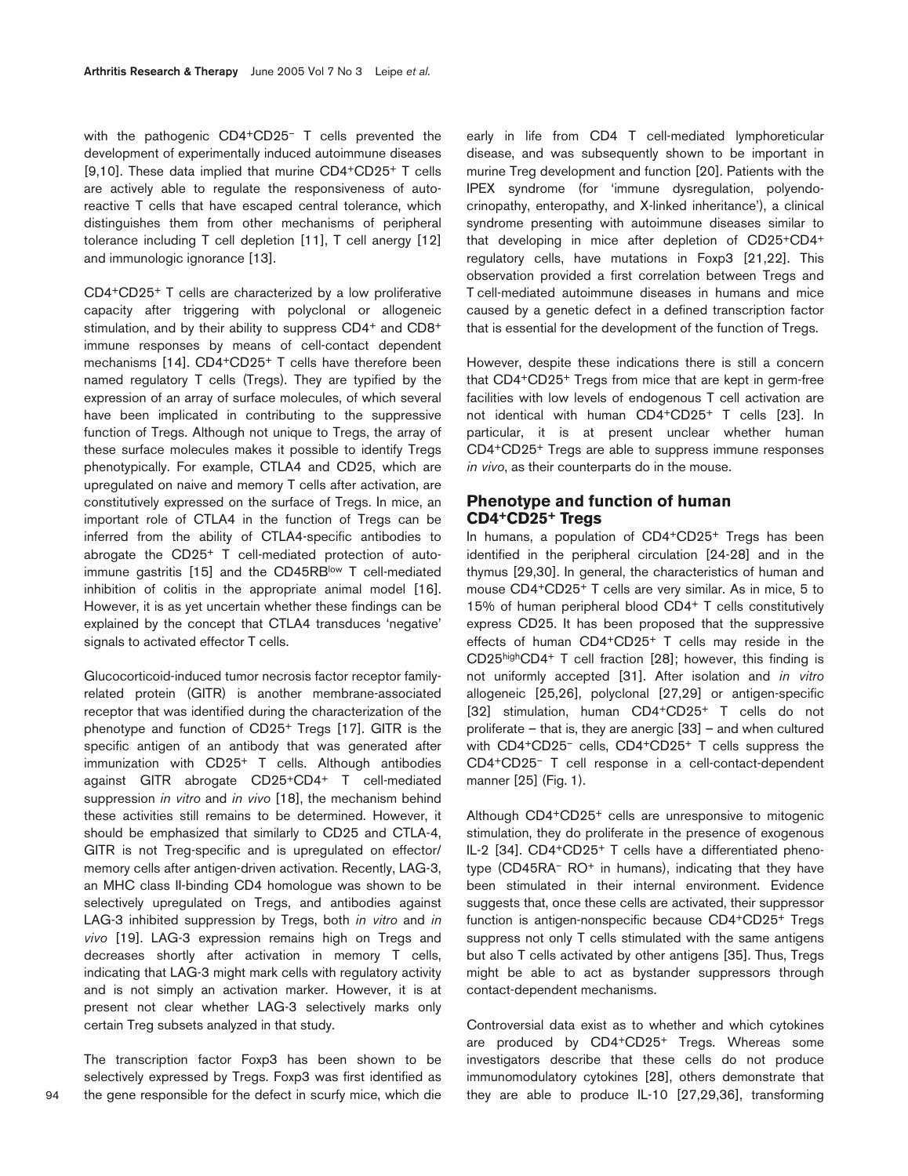with the pathogenic CD4+CD25– T cells prevented the development of experimentally induced autoimmune diseases [9,10]. These data implied that murine CD4+CD25+ T cells are actively able to regulate the responsiveness of autoreactive T cells that have escaped central tolerance, which distinguishes them from other mechanisms of peripheral tolerance including T cell depletion [11], T cell anergy [12] and immunologic ignorance [13].

CD4+CD25+ T cells are characterized by a low proliferative capacity after triggering with polyclonal or allogeneic stimulation, and by their ability to suppress CD4<sup>+</sup> and CD8<sup>+</sup> immune responses by means of cell-contact dependent mechanisms [14]. CD4+CD25+ T cells have therefore been named regulatory T cells (Tregs). They are typified by the expression of an array of surface molecules, of which several have been implicated in contributing to the suppressive function of Tregs. Although not unique to Tregs, the array of these surface molecules makes it possible to identify Tregs phenotypically. For example, CTLA4 and CD25, which are upregulated on naive and memory T cells after activation, are constitutively expressed on the surface of Tregs. In mice, an important role of CTLA4 in the function of Tregs can be inferred from the ability of CTLA4-specific antibodies to abrogate the CD25+ T cell-mediated protection of autoimmune gastritis [15] and the CD45RBlow T cell-mediated inhibition of colitis in the appropriate animal model [16]. However, it is as yet uncertain whether these findings can be explained by the concept that CTLA4 transduces 'negative' signals to activated effector T cells.

Glucocorticoid-induced tumor necrosis factor receptor familyrelated protein (GITR) is another membrane-associated receptor that was identified during the characterization of the phenotype and function of CD25+ Tregs [17]. GITR is the specific antigen of an antibody that was generated after immunization with CD25+ T cells. Although antibodies against GITR abrogate CD25+CD4+ T cell-mediated suppression *in vitro* and *in vivo* [18], the mechanism behind these activities still remains to be determined. However, it should be emphasized that similarly to CD25 and CTLA-4, GITR is not Treg-specific and is upregulated on effector/ memory cells after antigen-driven activation. Recently, LAG-3, an MHC class II-binding CD4 homologue was shown to be selectively upregulated on Tregs, and antibodies against LAG-3 inhibited suppression by Tregs, both *in vitro* and *in vivo* [19]. LAG-3 expression remains high on Tregs and decreases shortly after activation in memory T cells, indicating that LAG-3 might mark cells with regulatory activity and is not simply an activation marker. However, it is at present not clear whether LAG-3 selectively marks only certain Treg subsets analyzed in that study.

The transcription factor Foxp3 has been shown to be selectively expressed by Tregs. Foxp3 was first identified as the gene responsible for the defect in scurfy mice, which die early in life from CD4 T cell-mediated lymphoreticular disease, and was subsequently shown to be important in murine Treg development and function [20]. Patients with the IPEX syndrome (for 'immune dysregulation, polyendocrinopathy, enteropathy, and X-linked inheritance'), a clinical syndrome presenting with autoimmune diseases similar to that developing in mice after depletion of CD25+CD4+ regulatory cells, have mutations in Foxp3 [21,22]. This observation provided a first correlation between Tregs and T cell-mediated autoimmune diseases in humans and mice caused by a genetic defect in a defined transcription factor that is essential for the development of the function of Tregs.

However, despite these indications there is still a concern that CD4+CD25+ Tregs from mice that are kept in germ-free facilities with low levels of endogenous T cell activation are not identical with human CD4+CD25+ T cells [23]. In particular, it is at present unclear whether human CD4+CD25+ Tregs are able to suppress immune responses *in vivo*, as their counterparts do in the mouse.

# **Phenotype and function of human CD4+CD25+ Tregs**

In humans, a population of CD4+CD25+ Tregs has been identified in the peripheral circulation [24-28] and in the thymus [29,30]. In general, the characteristics of human and mouse CD4+CD25+ T cells are very similar. As in mice, 5 to 15% of human peripheral blood CD4+ T cells constitutively express CD25. It has been proposed that the suppressive effects of human CD4+CD25+ T cells may reside in the CD25highCD4+ T cell fraction [28]; however, this finding is not uniformly accepted [31]. After isolation and *in vitro* allogeneic [25,26], polyclonal [27,29] or antigen-specific [32] stimulation, human CD4+CD25+ T cells do not proliferate – that is, they are anergic [33] – and when cultured with CD4+CD25– cells, CD4+CD25+ T cells suppress the CD4+CD25– T cell response in a cell-contact-dependent manner [25] (Fig. 1).

Although CD4+CD25+ cells are unresponsive to mitogenic stimulation, they do proliferate in the presence of exogenous IL-2 [34]. CD4+CD25+ T cells have a differentiated phenotype (CD45RA– RO+ in humans), indicating that they have been stimulated in their internal environment. Evidence suggests that, once these cells are activated, their suppressor function is antigen-nonspecific because CD4+CD25+ Tregs suppress not only T cells stimulated with the same antigens but also T cells activated by other antigens [35]. Thus, Tregs might be able to act as bystander suppressors through contact-dependent mechanisms.

Controversial data exist as to whether and which cytokines are produced by CD4+CD25+ Tregs. Whereas some investigators describe that these cells do not produce immunomodulatory cytokines [28], others demonstrate that they are able to produce IL-10 [27,29,36], transforming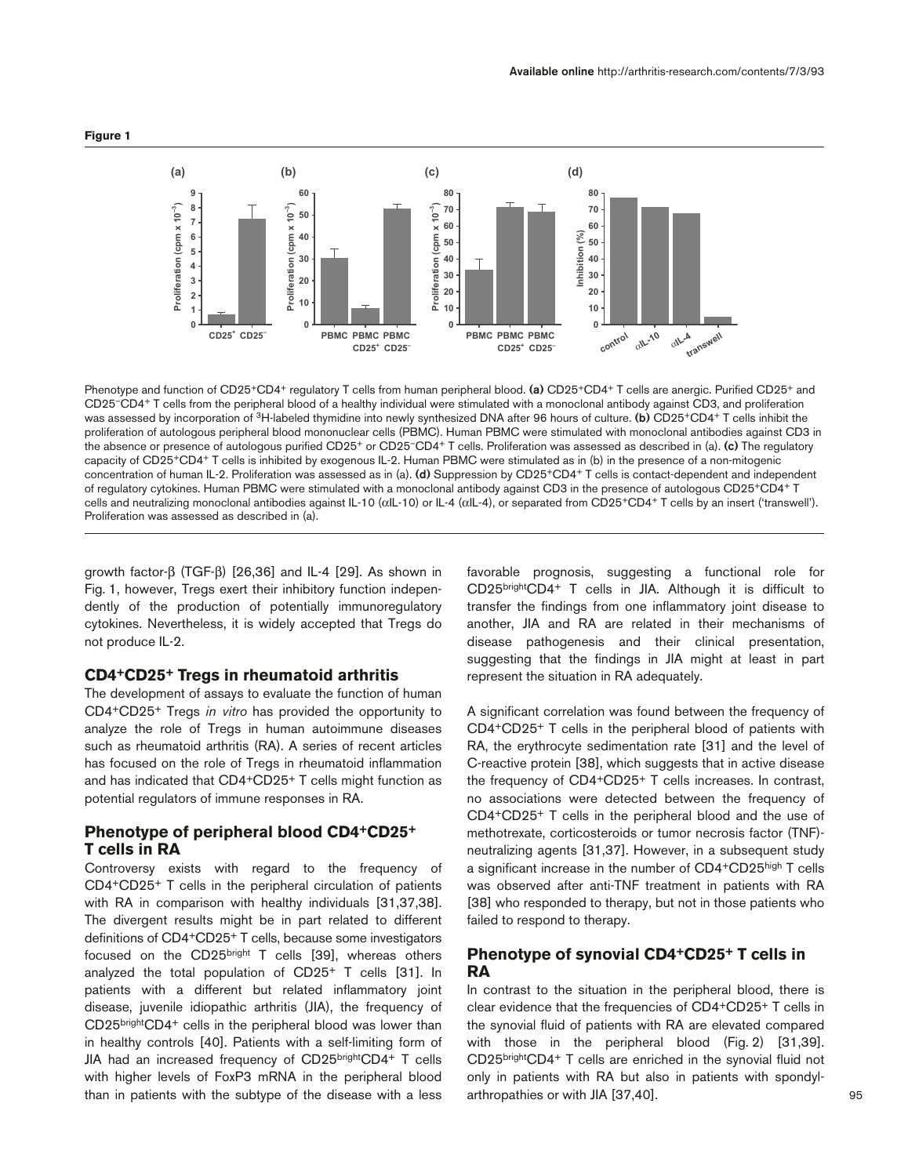



Phenotype and function of CD25+CD4+ regulatory T cells from human peripheral blood. **(a)** CD25+CD4+ T cells are anergic. Purified CD25+ and CD25–CD4+ T cells from the peripheral blood of a healthy individual were stimulated with a monoclonal antibody against CD3, and proliferation was assessed by incorporation of 3H-labeled thymidine into newly synthesized DNA after 96 hours of culture. **(b)** CD25+CD4+ T cells inhibit the proliferation of autologous peripheral blood mononuclear cells (PBMC). Human PBMC were stimulated with monoclonal antibodies against CD3 in the absence or presence of autologous purified CD25+ or CD25–CD4+ T cells. Proliferation was assessed as described in (a). **(c)** The regulatory capacity of CD25+CD4+ T cells is inhibited by exogenous IL-2. Human PBMC were stimulated as in (b) in the presence of a non-mitogenic concentration of human IL-2. Proliferation was assessed as in (a). **(d)** Suppression by CD25+CD4+ T cells is contact-dependent and independent of regulatory cytokines. Human PBMC were stimulated with a monoclonal antibody against CD3 in the presence of autologous CD25+CD4+ T cells and neutralizing monoclonal antibodies against IL-10 (αIL-10) or IL-4 (αIL-4), or separated from CD25+CD4+ T cells by an insert ('transwell'). Proliferation was assessed as described in (a).

growth factor-β (TGF-β) [26,36] and IL-4 [29]. As shown in Fig. 1, however, Tregs exert their inhibitory function independently of the production of potentially immunoregulatory cytokines. Nevertheless, it is widely accepted that Tregs do not produce IL-2.

#### **CD4+CD25+ Tregs in rheumatoid arthritis**

The development of assays to evaluate the function of human CD4+CD25+ Tregs *in vitro* has provided the opportunity to analyze the role of Tregs in human autoimmune diseases such as rheumatoid arthritis (RA). A series of recent articles has focused on the role of Tregs in rheumatoid inflammation and has indicated that CD4+CD25+ T cells might function as potential regulators of immune responses in RA.

# **Phenotype of peripheral blood CD4+CD25+ T cells in RA**

Controversy exists with regard to the frequency of CD4+CD25+ T cells in the peripheral circulation of patients with RA in comparison with healthy individuals [31,37,38]. The divergent results might be in part related to different definitions of CD4+CD25+ T cells, because some investigators focused on the CD25bright T cells [39], whereas others analyzed the total population of CD25+ T cells [31]. In patients with a different but related inflammatory joint disease, juvenile idiopathic arthritis (JIA), the frequency of CD25brightCD4+ cells in the peripheral blood was lower than in healthy controls [40]. Patients with a self-limiting form of JIA had an increased frequency of CD25brightCD4+ T cells with higher levels of FoxP3 mRNA in the peripheral blood than in patients with the subtype of the disease with a less favorable prognosis, suggesting a functional role for CD25brightCD4+ T cells in JIA. Although it is difficult to transfer the findings from one inflammatory joint disease to another, JIA and RA are related in their mechanisms of disease pathogenesis and their clinical presentation, suggesting that the findings in JIA might at least in part represent the situation in RA adequately.

A significant correlation was found between the frequency of CD4+CD25+ T cells in the peripheral blood of patients with RA, the erythrocyte sedimentation rate [31] and the level of C-reactive protein [38], which suggests that in active disease the frequency of CD4+CD25+ T cells increases. In contrast, no associations were detected between the frequency of CD4+CD25+ T cells in the peripheral blood and the use of methotrexate, corticosteroids or tumor necrosis factor (TNF) neutralizing agents [31,37]. However, in a subsequent study a significant increase in the number of CD4+CD25high T cells was observed after anti-TNF treatment in patients with RA [38] who responded to therapy, but not in those patients who failed to respond to therapy.

# **Phenotype of synovial CD4+CD25+ T cells in RA**

In contrast to the situation in the peripheral blood, there is clear evidence that the frequencies of CD4+CD25+ T cells in the synovial fluid of patients with RA are elevated compared with those in the peripheral blood (Fig. 2) [31,39]. CD25brightCD4+ T cells are enriched in the synovial fluid not only in patients with RA but also in patients with spondylarthropathies or with JIA [37,40].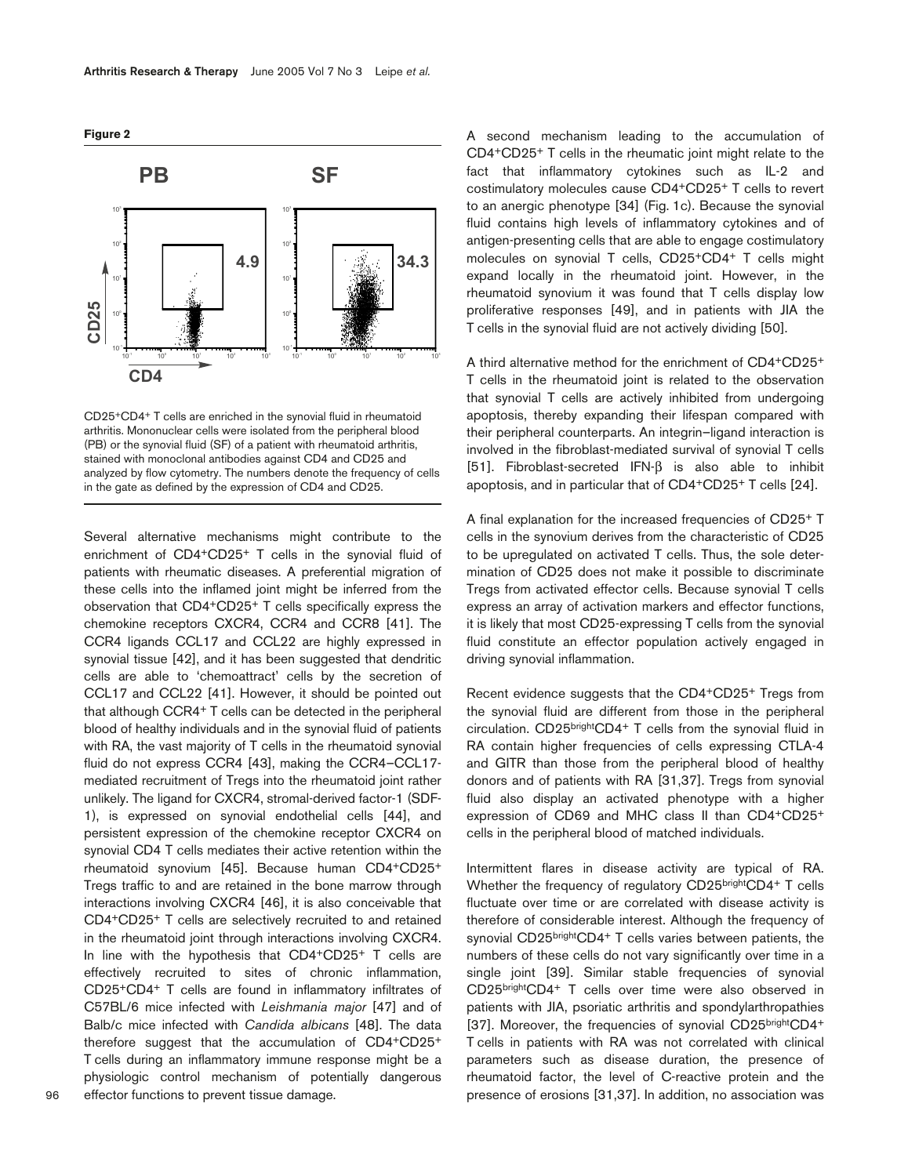



CD25+CD4+ T cells are enriched in the synovial fluid in rheumatoid arthritis. Mononuclear cells were isolated from the peripheral blood (PB) or the synovial fluid (SF) of a patient with rheumatoid arthritis, stained with monoclonal antibodies against CD4 and CD25 and analyzed by flow cytometry. The numbers denote the frequency of cells in the gate as defined by the expression of CD4 and CD25.

Several alternative mechanisms might contribute to the enrichment of CD4+CD25+ T cells in the synovial fluid of patients with rheumatic diseases. A preferential migration of these cells into the inflamed joint might be inferred from the observation that CD4+CD25+ T cells specifically express the chemokine receptors CXCR4, CCR4 and CCR8 [41]. The CCR4 ligands CCL17 and CCL22 are highly expressed in synovial tissue [42], and it has been suggested that dendritic cells are able to 'chemoattract' cells by the secretion of CCL17 and CCL22 [41]. However, it should be pointed out that although CCR4+ T cells can be detected in the peripheral blood of healthy individuals and in the synovial fluid of patients with RA, the vast majority of T cells in the rheumatoid synovial fluid do not express CCR4 [43], making the CCR4–CCL17 mediated recruitment of Tregs into the rheumatoid joint rather unlikely. The ligand for CXCR4, stromal-derived factor-1 (SDF-1), is expressed on synovial endothelial cells [44], and persistent expression of the chemokine receptor CXCR4 on synovial CD4 T cells mediates their active retention within the rheumatoid synovium [45]. Because human CD4+CD25+ Tregs traffic to and are retained in the bone marrow through interactions involving CXCR4 [46], it is also conceivable that CD4+CD25+ T cells are selectively recruited to and retained in the rheumatoid joint through interactions involving CXCR4. In line with the hypothesis that CD4+CD25+ T cells are effectively recruited to sites of chronic inflammation, CD25+CD4+ T cells are found in inflammatory infiltrates of C57BL/6 mice infected with *Leishmania major* [47] and of Balb/c mice infected with *Candida albicans* [48]. The data therefore suggest that the accumulation of CD4+CD25+ T cells during an inflammatory immune response might be a physiologic control mechanism of potentially dangerous effector functions to prevent tissue damage.

A second mechanism leading to the accumulation of CD4+CD25+ T cells in the rheumatic joint might relate to the fact that inflammatory cytokines such as IL-2 and costimulatory molecules cause CD4+CD25+ T cells to revert to an anergic phenotype [34] (Fig. 1c). Because the synovial fluid contains high levels of inflammatory cytokines and of antigen-presenting cells that are able to engage costimulatory molecules on synovial T cells, CD25+CD4+ T cells might expand locally in the rheumatoid joint. However, in the rheumatoid synovium it was found that T cells display low proliferative responses [49], and in patients with JIA the T cells in the synovial fluid are not actively dividing [50].

A third alternative method for the enrichment of CD4+CD25+ T cells in the rheumatoid joint is related to the observation that synovial T cells are actively inhibited from undergoing apoptosis, thereby expanding their lifespan compared with their peripheral counterparts. An integrin–ligand interaction is involved in the fibroblast-mediated survival of synovial T cells [51]. Fibroblast-secreted IFN-β is also able to inhibit apoptosis, and in particular that of CD4+CD25+ T cells [24].

A final explanation for the increased frequencies of CD25+ T cells in the synovium derives from the characteristic of CD25 to be upregulated on activated T cells. Thus, the sole determination of CD25 does not make it possible to discriminate Tregs from activated effector cells. Because synovial T cells express an array of activation markers and effector functions, it is likely that most CD25-expressing T cells from the synovial fluid constitute an effector population actively engaged in driving synovial inflammation.

Recent evidence suggests that the CD4+CD25+ Tregs from the synovial fluid are different from those in the peripheral circulation. CD25brightCD4+ T cells from the synovial fluid in RA contain higher frequencies of cells expressing CTLA-4 and GITR than those from the peripheral blood of healthy donors and of patients with RA [31,37]. Tregs from synovial fluid also display an activated phenotype with a higher expression of CD69 and MHC class II than CD4+CD25+ cells in the peripheral blood of matched individuals.

Intermittent flares in disease activity are typical of RA. Whether the frequency of regulatory CD25brightCD4+ T cells fluctuate over time or are correlated with disease activity is therefore of considerable interest. Although the frequency of synovial CD25brightCD4+ T cells varies between patients, the numbers of these cells do not vary significantly over time in a single joint [39]. Similar stable frequencies of synovial CD25brightCD4+ T cells over time were also observed in patients with JIA, psoriatic arthritis and spondylarthropathies [37]. Moreover, the frequencies of synovial CD25brightCD4+ T cells in patients with RA was not correlated with clinical parameters such as disease duration, the presence of rheumatoid factor, the level of C-reactive protein and the presence of erosions [31,37]. In addition, no association was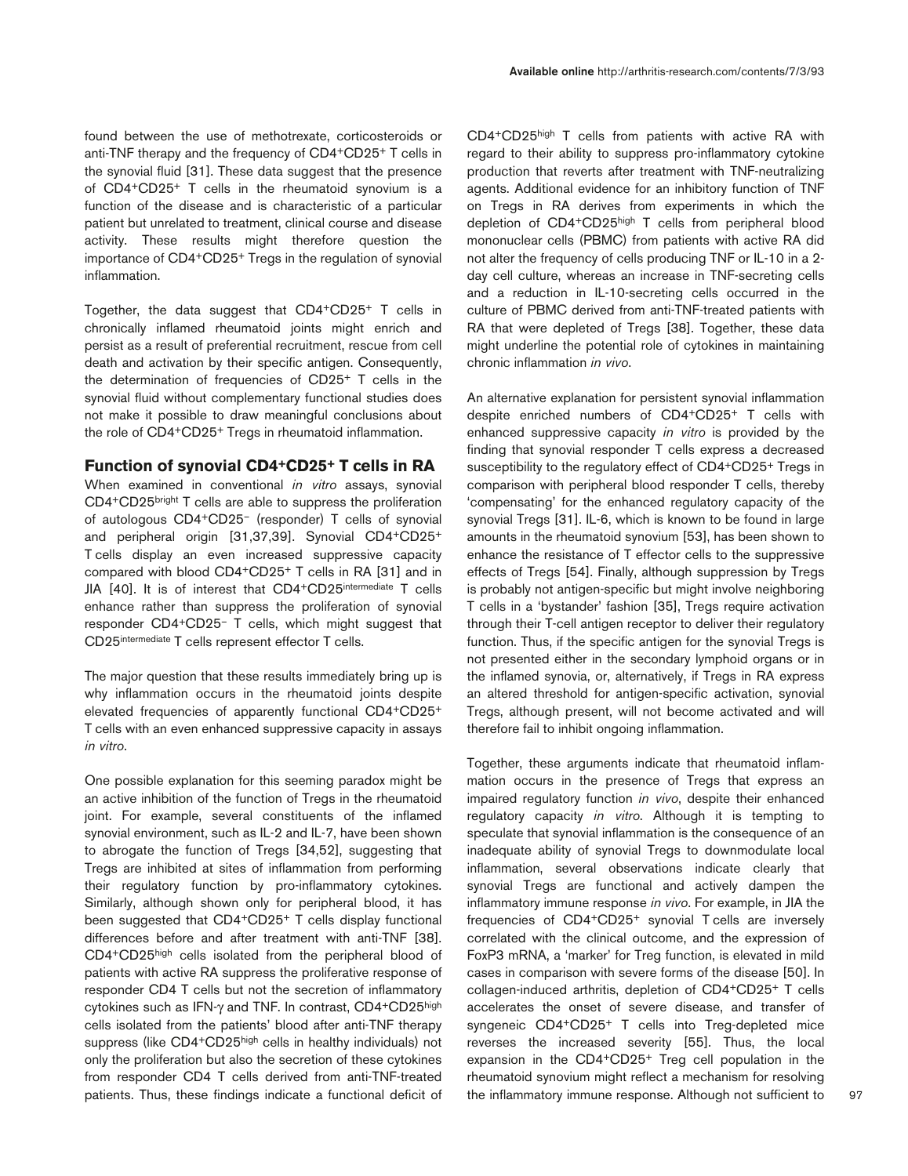found between the use of methotrexate, corticosteroids or anti-TNF therapy and the frequency of CD4+CD25+ T cells in the synovial fluid [31]. These data suggest that the presence of CD4+CD25+ T cells in the rheumatoid synovium is a function of the disease and is characteristic of a particular patient but unrelated to treatment, clinical course and disease activity. These results might therefore question the importance of CD4+CD25+ Tregs in the regulation of synovial inflammation.

Together, the data suggest that CD4+CD25+ T cells in chronically inflamed rheumatoid joints might enrich and persist as a result of preferential recruitment, rescue from cell death and activation by their specific antigen. Consequently, the determination of frequencies of CD25+ T cells in the synovial fluid without complementary functional studies does not make it possible to draw meaningful conclusions about the role of CD4+CD25+ Tregs in rheumatoid inflammation.

# **Function of synovial CD4+CD25+ T cells in RA**

When examined in conventional *in vitro* assays, synovial CD4+CD25bright T cells are able to suppress the proliferation of autologous CD4+CD25– (responder) T cells of synovial and peripheral origin [31,37,39]. Synovial CD4+CD25+ T cells display an even increased suppressive capacity compared with blood CD4+CD25+ T cells in RA [31] and in JIA [40]. It is of interest that CD4+CD25intermediate T cells enhance rather than suppress the proliferation of synovial responder CD4+CD25– T cells, which might suggest that CD25intermediate T cells represent effector T cells.

The major question that these results immediately bring up is why inflammation occurs in the rheumatoid joints despite elevated frequencies of apparently functional CD4+CD25+ T cells with an even enhanced suppressive capacity in assays *in vitro*.

One possible explanation for this seeming paradox might be an active inhibition of the function of Tregs in the rheumatoid joint. For example, several constituents of the inflamed synovial environment, such as IL-2 and IL-7, have been shown to abrogate the function of Tregs [34,52], suggesting that Tregs are inhibited at sites of inflammation from performing their regulatory function by pro-inflammatory cytokines. Similarly, although shown only for peripheral blood, it has been suggested that CD4+CD25+ T cells display functional differences before and after treatment with anti-TNF [38]. CD4+CD25high cells isolated from the peripheral blood of patients with active RA suppress the proliferative response of responder CD4 T cells but not the secretion of inflammatory cytokines such as IFN-γ and TNF. In contrast, CD4+CD25high cells isolated from the patients' blood after anti-TNF therapy suppress (like CD4+CD25high cells in healthy individuals) not only the proliferation but also the secretion of these cytokines from responder CD4 T cells derived from anti-TNF-treated patients. Thus, these findings indicate a functional deficit of CD4+CD25high T cells from patients with active RA with regard to their ability to suppress pro-inflammatory cytokine production that reverts after treatment with TNF-neutralizing agents. Additional evidence for an inhibitory function of TNF on Tregs in RA derives from experiments in which the depletion of CD4+CD25high T cells from peripheral blood mononuclear cells (PBMC) from patients with active RA did not alter the frequency of cells producing TNF or IL-10 in a 2 day cell culture, whereas an increase in TNF-secreting cells and a reduction in IL-10-secreting cells occurred in the culture of PBMC derived from anti-TNF-treated patients with RA that were depleted of Tregs [38]. Together, these data might underline the potential role of cytokines in maintaining chronic inflammation *in vivo*.

An alternative explanation for persistent synovial inflammation despite enriched numbers of CD4+CD25+ T cells with enhanced suppressive capacity *in vitro* is provided by the finding that synovial responder T cells express a decreased susceptibility to the regulatory effect of CD4+CD25+ Tregs in comparison with peripheral blood responder T cells, thereby 'compensating' for the enhanced regulatory capacity of the synovial Tregs [31]. IL-6, which is known to be found in large amounts in the rheumatoid synovium [53], has been shown to enhance the resistance of T effector cells to the suppressive effects of Tregs [54]. Finally, although suppression by Tregs is probably not antigen-specific but might involve neighboring T cells in a 'bystander' fashion [35], Tregs require activation through their T-cell antigen receptor to deliver their regulatory function. Thus, if the specific antigen for the synovial Tregs is not presented either in the secondary lymphoid organs or in the inflamed synovia, or, alternatively, if Tregs in RA express an altered threshold for antigen-specific activation, synovial Tregs, although present, will not become activated and will therefore fail to inhibit ongoing inflammation.

Together, these arguments indicate that rheumatoid inflammation occurs in the presence of Tregs that express an impaired regulatory function *in vivo*, despite their enhanced regulatory capacity *in vitro*. Although it is tempting to speculate that synovial inflammation is the consequence of an inadequate ability of synovial Tregs to downmodulate local inflammation, several observations indicate clearly that synovial Tregs are functional and actively dampen the inflammatory immune response *in vivo*. For example, in JIA the frequencies of CD4+CD25+ synovial T cells are inversely correlated with the clinical outcome, and the expression of FoxP3 mRNA, a 'marker' for Treg function, is elevated in mild cases in comparison with severe forms of the disease [50]. In collagen-induced arthritis, depletion of CD4+CD25+ T cells accelerates the onset of severe disease, and transfer of syngeneic CD4+CD25+ T cells into Treg-depleted mice reverses the increased severity [55]. Thus, the local expansion in the CD4+CD25+ Treg cell population in the rheumatoid synovium might reflect a mechanism for resolving the inflammatory immune response. Although not sufficient to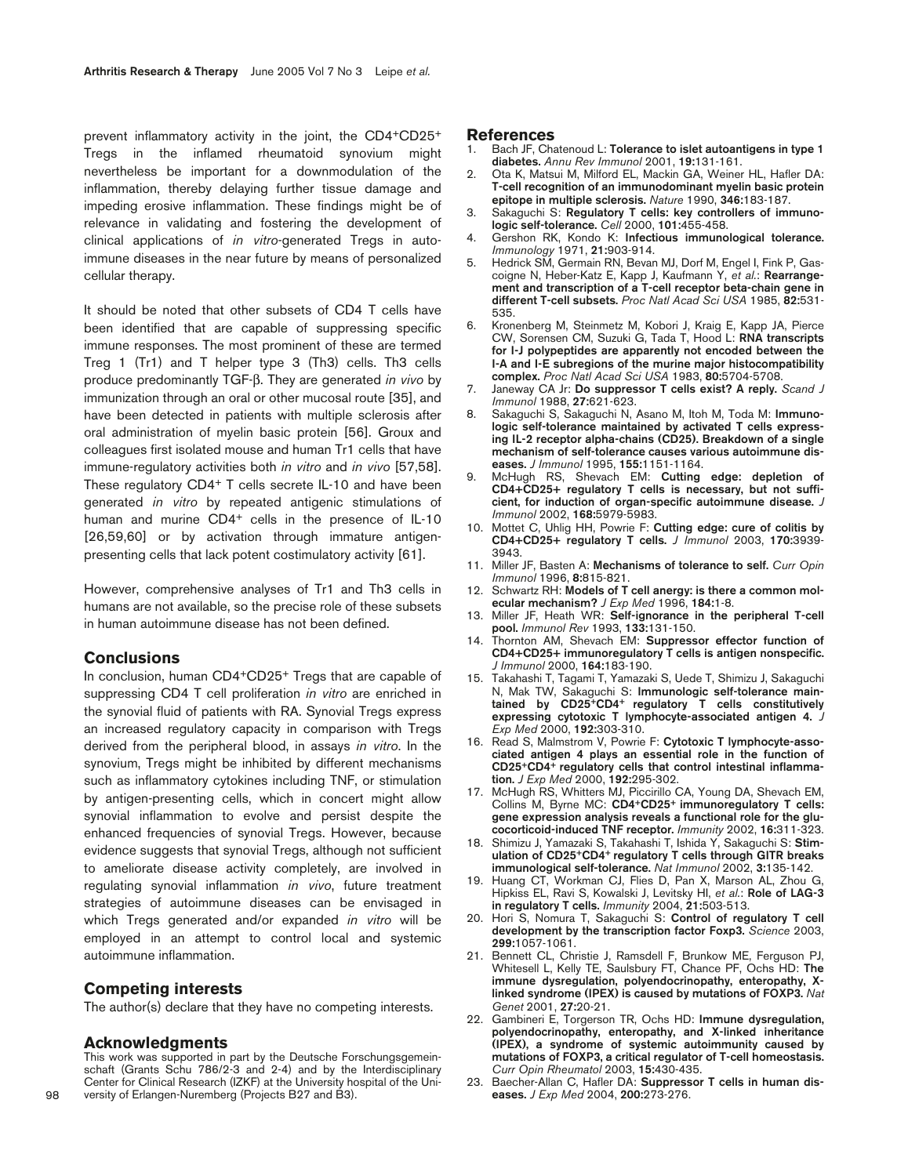prevent inflammatory activity in the joint, the CD4+CD25+ Tregs in the inflamed rheumatoid synovium might nevertheless be important for a downmodulation of the inflammation, thereby delaying further tissue damage and impeding erosive inflammation. These findings might be of relevance in validating and fostering the development of clinical applications of *in vitro*-generated Tregs in autoimmune diseases in the near future by means of personalized cellular therapy.

It should be noted that other subsets of CD4 T cells have been identified that are capable of suppressing specific immune responses. The most prominent of these are termed Treg 1 (Tr1) and T helper type 3 (Th3) cells. Th3 cells produce predominantly TGF-β. They are generated *in vivo* by immunization through an oral or other mucosal route [35], and have been detected in patients with multiple sclerosis after oral administration of myelin basic protein [56]. Groux and colleagues first isolated mouse and human Tr1 cells that have immune-regulatory activities both *in vitro* and *in vivo* [57,58]. These regulatory CD4+ T cells secrete IL-10 and have been generated *in vitro* by repeated antigenic stimulations of human and murine CD4<sup>+</sup> cells in the presence of IL-10 [26,59,60] or by activation through immature antigenpresenting cells that lack potent costimulatory activity [61].

However, comprehensive analyses of Tr1 and Th3 cells in humans are not available, so the precise role of these subsets in human autoimmune disease has not been defined.

# **Conclusions**

In conclusion, human CD4+CD25+ Tregs that are capable of suppressing CD4 T cell proliferation *in vitro* are enriched in the synovial fluid of patients with RA. Synovial Tregs express an increased regulatory capacity in comparison with Tregs derived from the peripheral blood, in assays *in vitro*. In the synovium, Tregs might be inhibited by different mechanisms such as inflammatory cytokines including TNF, or stimulation by antigen-presenting cells, which in concert might allow synovial inflammation to evolve and persist despite the enhanced frequencies of synovial Tregs. However, because evidence suggests that synovial Tregs, although not sufficient to ameliorate disease activity completely, are involved in regulating synovial inflammation *in vivo*, future treatment strategies of autoimmune diseases can be envisaged in which Tregs generated and/or expanded *in vitro* will be employed in an attempt to control local and systemic autoimmune inflammation.

# **Competing interests**

The author(s) declare that they have no competing interests.

#### **Acknowledgments**

This work was supported in part by the Deutsche Forschungsgemeinschaft (Grants Schu 786/2-3 and 2-4) and by the Interdisciplinary Center for Clinical Research (IZKF) at the University hospital of the University of Erlangen-Nuremberg (Projects B27 and B3).

#### **References**

- 1. Bach JF, Chatenoud L: **Tolerance to islet autoantigens in type 1 diabetes.** *Annu Rev Immunol* 2001, **19:**131-161.
- 2. Ota K, Matsui M, Milford EL, Mackin GA, Weiner HL, Hafler DA: **T-cell recognition of an immunodominant myelin basic protein epitope in multiple sclerosis.** *Nature* 1990, **346:**183-187.
- 3. Sakaguchi S: **Regulatory T cells: key controllers of immunologic self-tolerance.** *Cell* 2000, **101:**455-458.
- 4. Gershon RK, Kondo K: **Infectious immunological tolerance.** *Immunology* 1971, **21:**903-914.
- 5. Hedrick SM, Germain RN, Bevan MJ, Dorf M, Engel I, Fink P, Gascoigne N, Heber-Katz E, Kapp J, Kaufmann Y, *et al.*: **Rearrangement and transcription of a T-cell receptor beta-chain gene in different T-cell subsets.** *Proc Natl Acad Sci USA* 1985, **82:**531- 535.
- 6. Kronenberg M, Steinmetz M, Kobori J, Kraig E, Kapp JA, Pierce CW, Sorensen CM, Suzuki G, Tada T, Hood L: **RNA transcripts for I-J polypeptides are apparently not encoded between the I-A and I-E subregions of the murine major histocompatibility complex.** *Proc Natl Acad Sci USA* 1983, **80:**5704-5708.
- 7. Janeway CA Jr: **Do suppressor T cells exist? A reply.** *Scand J Immunol* 1988, **27:**621-623.
- 8. Sakaguchi S, Sakaguchi N, Asano M, Itoh M, Toda M: **Immunologic self-tolerance maintained by activated T cells expressing IL-2 receptor alpha-chains (CD25). Breakdown of a single mechanism of self-tolerance causes various autoimmune diseases.** *J Immunol* 1995, **155:**1151-1164.
- 9. McHugh RS, Shevach EM: **Cutting edge: depletion of CD4+CD25+ regulatory T cells is necessary, but not sufficient, for induction of organ-specific autoimmune disease.** *J Immunol* 2002, **168:**5979-5983.
- 10. Mottet C, Uhlig HH, Powrie F: **Cutting edge: cure of colitis by CD4+CD25+ regulatory T cells.** *J Immunol* 2003, **170:**3939- 3943.
- 11. Miller JF, Basten A: **Mechanisms of tolerance to self.** *Curr Opin Immunol* 1996, **8:**815-821.
- 12. Schwartz RH: **Models of T cell anergy: is there a common molecular mechanism?** *J Exp Med* 1996, **184:**1-8.
- 13. Miller JF, Heath WR: **Self-ignorance in the peripheral T-cell pool.** *Immunol Rev* 1993, **133:**131-150.
- 14. Thornton AM, Shevach EM: **Suppressor effector function of CD4+CD25+ immunoregulatory T cells is antigen nonspecific.** *J Immunol* 2000, **164:**183-190.
- 15. Takahashi T, Tagami T, Yamazaki S, Uede T, Shimizu J, Sakaguchi N, Mak TW, Sakaguchi S: **Immunologic self-tolerance maintained by CD25+CD4+ regulatory T cells constitutively expressing cytotoxic T lymphocyte-associated antigen 4.** *J Exp Med* 2000, **192:**303-310.
- 16. Read S, Malmstrom V, Powrie F: **Cytotoxic T lymphocyte-associated antigen 4 plays an essential role in the function of CD25+CD4+ regulatory cells that control intestinal inflammation.** *J Exp Med* 2000, **192:**295-302.
- 17. McHugh RS, Whitters MJ, Piccirillo CA, Young DA, Shevach EM, Collins M, Byrne MC: **CD4+CD25+ immunoregulatory T cells: gene expression analysis reveals a functional role for the glucocorticoid-induced TNF receptor.** *Immunity* 2002, **16:**311-323.
- 18. Shimizu J, Yamazaki S, Takahashi T, Ishida Y, Sakaguchi S: **Stimulation of CD25+CD4+ regulatory T cells through GITR breaks immunological self-tolerance.** *Nat Immunol* 2002, **3:**135-142.
- 19. Huang CT, Workman CJ, Flies D, Pan X, Marson AL, Zhou G, Hipkiss EL, Ravi S, Kowalski J, Levitsky HI, *et al.*: **Role of LAG-3 in regulatory T cells.** *Immunity* 2004, **21:**503-513.
- 20. Hori S, Nomura T, Sakaguchi S: **Control of regulatory T cell development by the transcription factor Foxp3.** *Science* 2003, **299:**1057-1061.
- 21. Bennett CL, Christie J, Ramsdell F, Brunkow ME, Ferguson PJ, Whitesell L, Kelly TE, Saulsbury FT, Chance PF, Ochs HD: **The immune dysregulation, polyendocrinopathy, enteropathy, Xlinked syndrome (IPEX) is caused by mutations of FOXP3.** *Nat Genet* 2001, **27:**20-21.
- 22. Gambineri E, Torgerson TR, Ochs HD: **Immune dysregulation, polyendocrinopathy, enteropathy, and X-linked inheritance (IPEX), a syndrome of systemic autoimmunity caused by mutations of FOXP3, a critical regulator of T-cell homeostasis.** *Curr Opin Rheumatol* 2003, **15:**430-435.
- 23. Baecher-Allan C, Hafler DA: **Suppressor T cells in human diseases.** *J Exp Med* 2004, **200:**273-276.